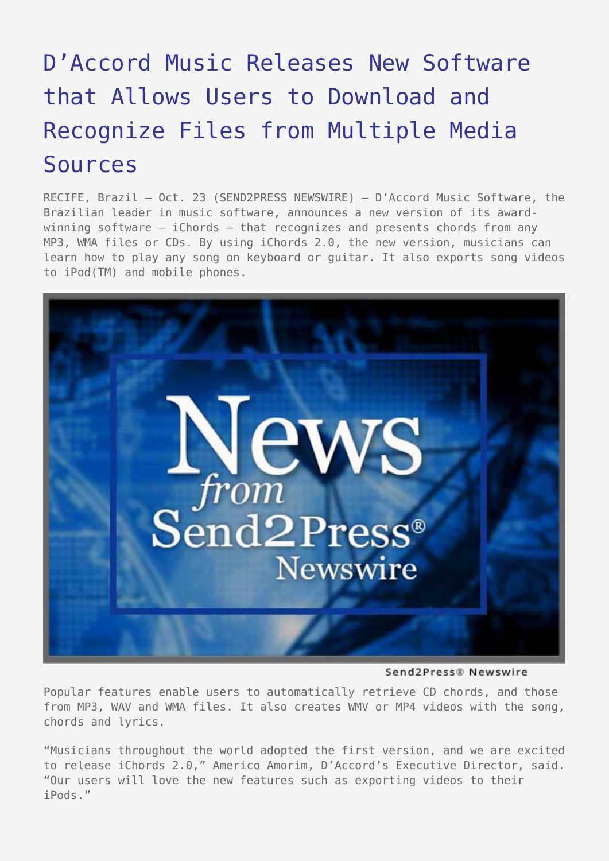## [D'Accord Music Releases New Software](https://www.send2press.com/wire/2007-10-1023-003/) [that Allows Users to Download and](https://www.send2press.com/wire/2007-10-1023-003/) [Recognize Files from Multiple Media](https://www.send2press.com/wire/2007-10-1023-003/) [Sources](https://www.send2press.com/wire/2007-10-1023-003/)

RECIFE, Brazil – Oct. 23 (SEND2PRESS NEWSWIRE) — D'Accord Music Software, the Brazilian leader in music software, announces a new version of its awardwinning software – iChords – that recognizes and presents chords from any MP3, WMA files or CDs. By using iChords 2.0, the new version, musicians can learn how to play any song on keyboard or guitar. It also exports song videos to iPod(TM) and mobile phones.



Send2Press® Newswire

Popular features enable users to automatically retrieve CD chords, and those from MP3, WAV and WMA files. It also creates WMV or MP4 videos with the song, chords and lyrics.

"Musicians throughout the world adopted the first version, and we are excited to release iChords 2.0," Americo Amorim, D'Accord's Executive Director, said. "Our users will love the new features such as exporting videos to their iPods."